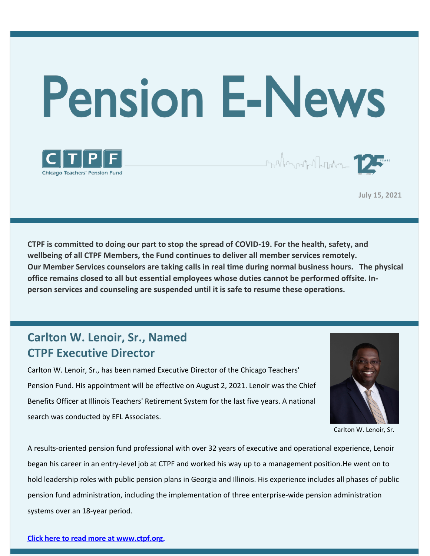

**July 15, 2021**

**CTPF is committed to doing our part to stop the spread of COVID-19. For the health, safety, and wellbeing of all CTPF Members, the Fund continues to deliver all member services remotely. Our Member Services counselors are taking calls in real time during normal business hours. The physical office remains closed to all but essential employees whose duties cannot be performed offsite. Inperson services and counseling are suspended until it is safe to resume these operations.**

### **Carlton W. Lenoir, Sr., Named CTPF Executive Director**

**Chicago Teachers' Pension Fund** 

Carlton W. Lenoir, Sr., has been named Executive Director of the Chicago Teachers' Pension Fund. His appointment will be effective on August 2, 2021. Lenoir was the Chief Benefits Officer at Illinois Teachers' Retirement System for the last five years. A national search was conducted by EFL Associates.



Carlton W. Lenoir, Sr.

A results-oriented pension fund professional with over 32 years of executive and operational experience, Lenoir began his career in an entry-level job at CTPF and worked his way up to a management position.He went on to hold leadership roles with public pension plans in Georgia and Illinois. His experience includes all phases of public pension fund administration, including the implementation of three enterprise-wide pension administration systems over an 18-year period.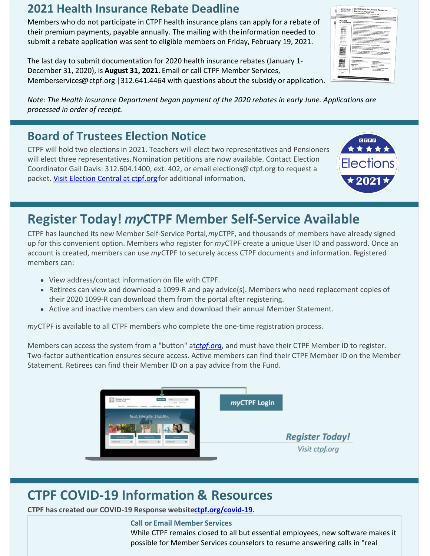### **2021 Health Insurance Rebate Deadline**

Members who do not participate in CTPF health insurance plans can apply for a rebate of their premium payments, payable annually. The mailing with the information needed to submit a rebate application was sent to eligible members on Friday, February 19, 2021.

The last day to submit documentation for 2020 health insurance rebates (January 1- December 31, 2020), is **August 31, 2021.** Email or call CTPF Member Services, Memberservices@ctpf.org |312.641.4464 with questions about the subsidy or application.

*Note: The Health Insurance Department began payment of the 2020 rebates in early June. Applications are processed in order of receipt.*

## **Board of Trustees Election Notice**

CTPF will hold two elections in 2021. Teachers will elect two representatives and Pensioners will elect three representatives. Nomination petitions are now available. Contact Election Coordinator Gail Davis: 312.604.1400, ext. 402, or email elections@ctpf.org to request a packet. Visit [Election](https://www.ctpf.org/about-ctpf/election-central-2021) Central at ctpf.org for additional information.

## **Register Today!** *my***CTPF Member Self-Service Available**

CTPF has launched its new Member Self-Service Portal,*my*CTPF, and thousands of members have already signed up for this convenient option. Members who register for *my*CTPF create a unique User ID and password. Once an account is created, members can use *my*CTPF to securely access CTPF documents and information. Registered members can:

- View address/contact information on file with CTPF.
- Retirees can view and download a 1099-R and pay advice(s). Members who need replacement copies of their 2020 1099-R can download them from the portal after registering.
- Active and inactive members can view and download their annual Member Statement.

*my*CTPF is available to all CTPF members who complete the one-time registration process.

Members can access the system from a "button" at*[ctpf.org](http://www.ctpf.org)*, and must have their CTPF Member ID to register. Two-factor authentication ensures secure access. Active members can find their CTPF Member ID on the Member Statement. Retirees can find their Member ID on a pay advice from the Fund.



# **CTPF COVID-19 Information & Resources**

**CTPF has created our COVID-19 Response websit[ectpf.org/covid-19](http://ctpf.org/covid-19).**

**Call or Email Member Services** While CTPF remains closed to all but essential employees, new software makes it possible for Member Services counselors to resume answering calls in "real



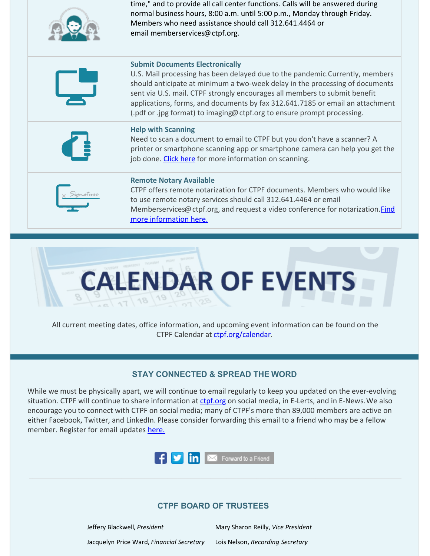| time," and to provide all call center functions. Calls will be answered during<br>normal business hours, 8:00 a.m. until 5:00 p.m., Monday through Friday.<br>Members who need assistance should call 312.641.4464 or<br>email memberservices@ctpf.org.                                                                                                                                                                                          |
|--------------------------------------------------------------------------------------------------------------------------------------------------------------------------------------------------------------------------------------------------------------------------------------------------------------------------------------------------------------------------------------------------------------------------------------------------|
| <b>Submit Documents Electronically</b><br>U.S. Mail processing has been delayed due to the pandemic. Currently, members<br>should anticipate at minimum a two-week delay in the processing of documents<br>sent via U.S. mail. CTPF strongly encourages all members to submit benefit<br>applications, forms, and documents by fax 312.641.7185 or email an attachment<br>(.pdf or .jpg format) to imaging@ctpf.org to ensure prompt processing. |
| <b>Help with Scanning</b><br>Need to scan a document to email to CTPF but you don't have a scanner? A<br>printer or smartphone scanning app or smartphone camera can help you get the<br>job done. Click here for more information on scanning.                                                                                                                                                                                                  |
| <b>Remote Notary Available</b><br>CTPF offers remote notarization for CTPF documents. Members who would like<br>to use remote notary services should call 312.641.4464 or email<br>Memberservices@ctpf.org, and request a video conference for notarization. <i>Find</i><br>more information here.                                                                                                                                               |



All current meeting dates, office information, and upcoming event information can be found on the CTPF Calendar at [ctpf.org/calendar](http://www.ctpf.org/calendar).

#### **STAY CONNECTED & SPREAD THE WORD**

While we must be physically apart, we will continue to email regularly to keep you updated on the ever-evolving situation. CTPF will continue to share information at [ctpf.org](http://ctpf.org) on social media, in E-Lerts, and in E-News. We also encourage you to connect with CTPF on social media; many of CTPF's more than 89,000 members are active on either Facebook, Twitter, and LinkedIn. Please consider forwarding this email to a friend who may be a fellow member. Register for email updates [here.](https://www.ctpf.org/)



#### **CTPF BOARD OF TRUSTEES**

Jeffery Blackwell, *President* Mary Sharon Reilly, *Vice President* Jacquelyn Price Ward, *Financial Secretary* Lois Nelson, *Recording Secretary*